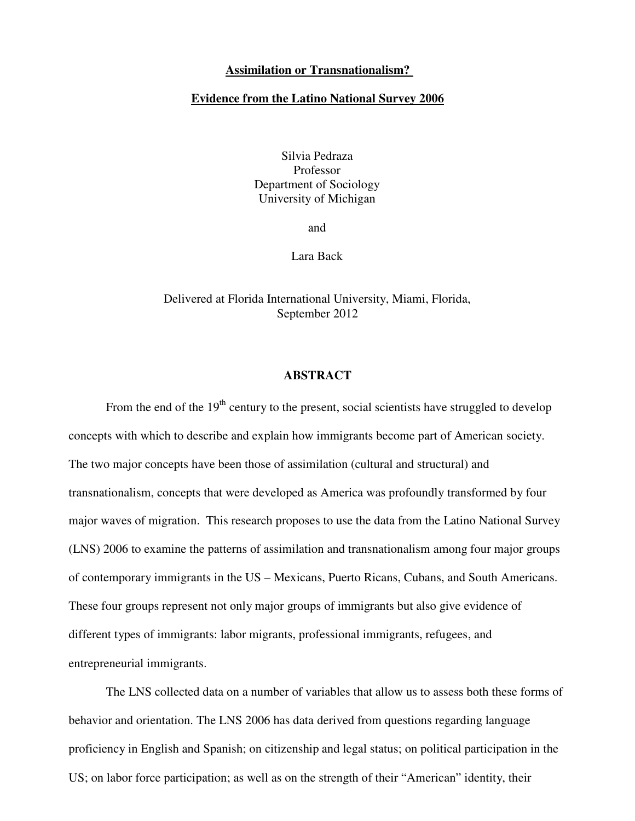### **Assimilation or Transnationalism?**

### **Evidence from the Latino National Survey 2006**

Silvia Pedraza Professor Department of Sociology University of Michigan

and

Lara Back

Delivered at Florida International University, Miami, Florida, September 2012

## **ABSTRACT**

From the end of the  $19<sup>th</sup>$  century to the present, social scientists have struggled to develop concepts with which to describe and explain how immigrants become part of American society. The two major concepts have been those of assimilation (cultural and structural) and transnationalism, concepts that were developed as America was profoundly transformed by four major waves of migration. This research proposes to use the data from the Latino National Survey (LNS) 2006 to examine the patterns of assimilation and transnationalism among four major groups of contemporary immigrants in the US – Mexicans, Puerto Ricans, Cubans, and South Americans. These four groups represent not only major groups of immigrants but also give evidence of different types of immigrants: labor migrants, professional immigrants, refugees, and entrepreneurial immigrants.

The LNS collected data on a number of variables that allow us to assess both these forms of behavior and orientation. The LNS 2006 has data derived from questions regarding language proficiency in English and Spanish; on citizenship and legal status; on political participation in the US; on labor force participation; as well as on the strength of their "American" identity, their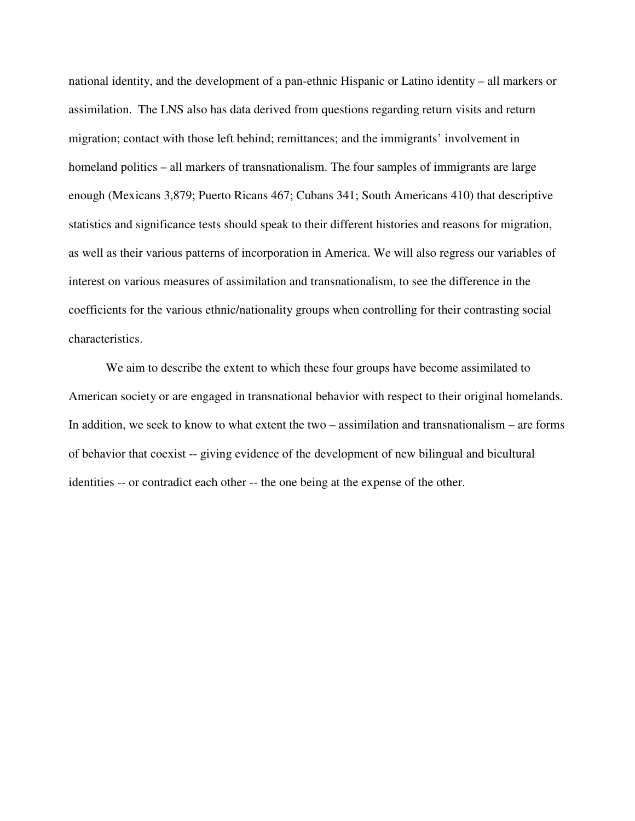national identity, and the development of a pan-ethnic Hispanic or Latino identity – all markers or assimilation. The LNS also has data derived from questions regarding return visits and return migration; contact with those left behind; remittances; and the immigrants' involvement in homeland politics – all markers of transnationalism. The four samples of immigrants are large enough (Mexicans 3,879; Puerto Ricans 467; Cubans 341; South Americans 410) that descriptive statistics and significance tests should speak to their different histories and reasons for migration, as well as their various patterns of incorporation in America. We will also regress our variables of interest on various measures of assimilation and transnationalism, to see the difference in the coefficients for the various ethnic/nationality groups when controlling for their contrasting social characteristics.

We aim to describe the extent to which these four groups have become assimilated to American society or are engaged in transnational behavior with respect to their original homelands. In addition, we seek to know to what extent the two – assimilation and transnationalism – are forms of behavior that coexist -- giving evidence of the development of new bilingual and bicultural identities -- or contradict each other -- the one being at the expense of the other.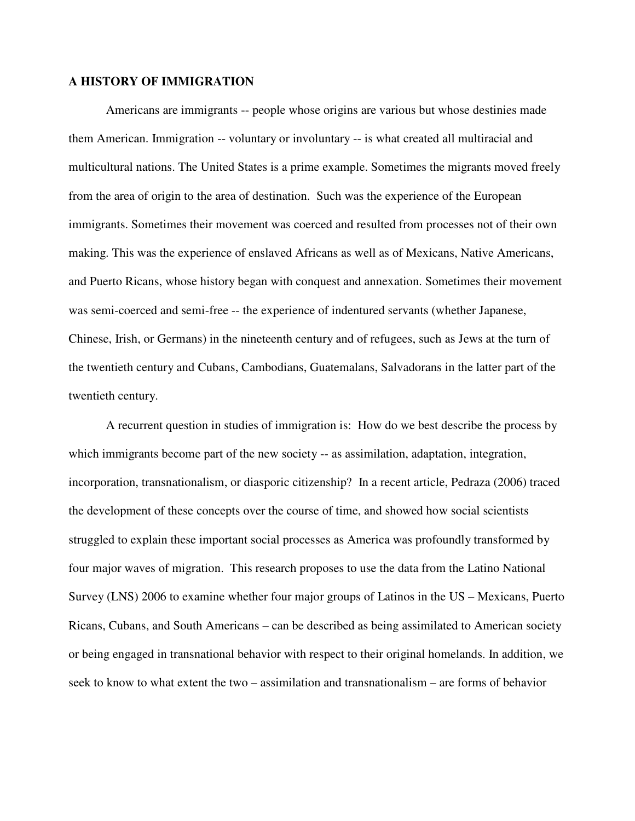## **A HISTORY OF IMMIGRATION**

Americans are immigrants -- people whose origins are various but whose destinies made them American. Immigration -- voluntary or involuntary -- is what created all multiracial and multicultural nations. The United States is a prime example. Sometimes the migrants moved freely from the area of origin to the area of destination. Such was the experience of the European immigrants. Sometimes their movement was coerced and resulted from processes not of their own making. This was the experience of enslaved Africans as well as of Mexicans, Native Americans, and Puerto Ricans, whose history began with conquest and annexation. Sometimes their movement was semi-coerced and semi-free -- the experience of indentured servants (whether Japanese, Chinese, Irish, or Germans) in the nineteenth century and of refugees, such as Jews at the turn of the twentieth century and Cubans, Cambodians, Guatemalans, Salvadorans in the latter part of the twentieth century.

A recurrent question in studies of immigration is: How do we best describe the process by which immigrants become part of the new society -- as assimilation, adaptation, integration, incorporation, transnationalism, or diasporic citizenship? In a recent article, Pedraza (2006) traced the development of these concepts over the course of time, and showed how social scientists struggled to explain these important social processes as America was profoundly transformed by four major waves of migration. This research proposes to use the data from the Latino National Survey (LNS) 2006 to examine whether four major groups of Latinos in the US – Mexicans, Puerto Ricans, Cubans, and South Americans – can be described as being assimilated to American society or being engaged in transnational behavior with respect to their original homelands. In addition, we seek to know to what extent the two – assimilation and transnationalism – are forms of behavior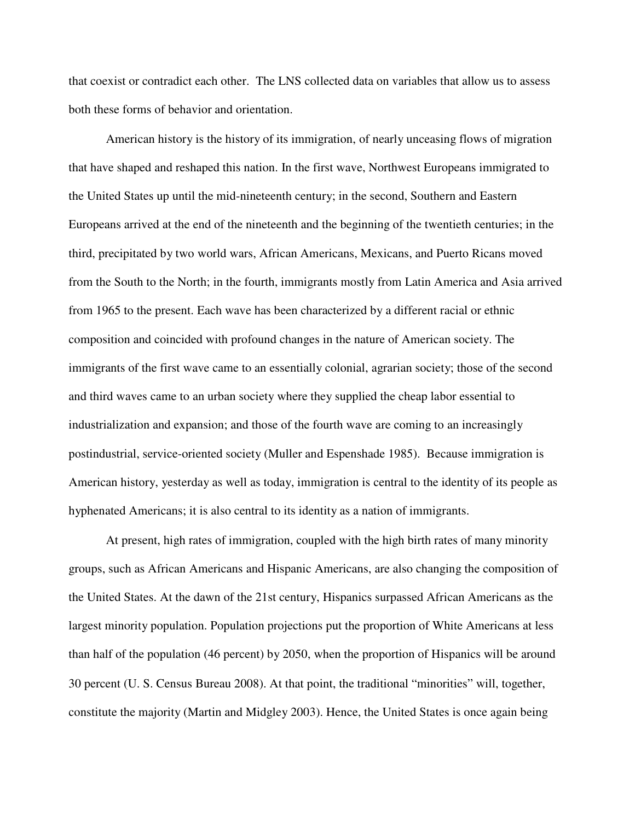that coexist or contradict each other. The LNS collected data on variables that allow us to assess both these forms of behavior and orientation.

American history is the history of its immigration, of nearly unceasing flows of migration that have shaped and reshaped this nation. In the first wave, Northwest Europeans immigrated to the United States up until the mid-nineteenth century; in the second, Southern and Eastern Europeans arrived at the end of the nineteenth and the beginning of the twentieth centuries; in the third, precipitated by two world wars, African Americans, Mexicans, and Puerto Ricans moved from the South to the North; in the fourth, immigrants mostly from Latin America and Asia arrived from 1965 to the present. Each wave has been characterized by a different racial or ethnic composition and coincided with profound changes in the nature of American society. The immigrants of the first wave came to an essentially colonial, agrarian society; those of the second and third waves came to an urban society where they supplied the cheap labor essential to industrialization and expansion; and those of the fourth wave are coming to an increasingly postindustrial, service-oriented society (Muller and Espenshade 1985). Because immigration is American history, yesterday as well as today, immigration is central to the identity of its people as hyphenated Americans; it is also central to its identity as a nation of immigrants.

At present, high rates of immigration, coupled with the high birth rates of many minority groups, such as African Americans and Hispanic Americans, are also changing the composition of the United States. At the dawn of the 21st century, Hispanics surpassed African Americans as the largest minority population. Population projections put the proportion of White Americans at less than half of the population (46 percent) by 2050, when the proportion of Hispanics will be around 30 percent (U. S. Census Bureau 2008). At that point, the traditional "minorities" will, together, constitute the majority (Martin and Midgley 2003). Hence, the United States is once again being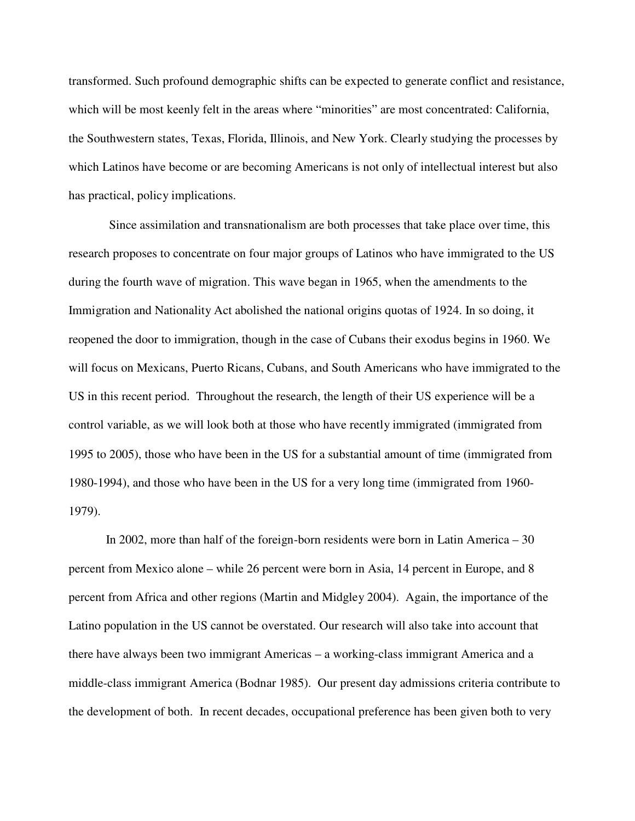transformed. Such profound demographic shifts can be expected to generate conflict and resistance, which will be most keenly felt in the areas where "minorities" are most concentrated: California, the Southwestern states, Texas, Florida, Illinois, and New York. Clearly studying the processes by which Latinos have become or are becoming Americans is not only of intellectual interest but also has practical, policy implications.

Since assimilation and transnationalism are both processes that take place over time, this research proposes to concentrate on four major groups of Latinos who have immigrated to the US during the fourth wave of migration. This wave began in 1965, when the amendments to the Immigration and Nationality Act abolished the national origins quotas of 1924. In so doing, it reopened the door to immigration, though in the case of Cubans their exodus begins in 1960. We will focus on Mexicans, Puerto Ricans, Cubans, and South Americans who have immigrated to the US in this recent period. Throughout the research, the length of their US experience will be a control variable, as we will look both at those who have recently immigrated (immigrated from 1995 to 2005), those who have been in the US for a substantial amount of time (immigrated from 1980-1994), and those who have been in the US for a very long time (immigrated from 1960- 1979).

In 2002, more than half of the foreign-born residents were born in Latin America – 30 percent from Mexico alone – while 26 percent were born in Asia, 14 percent in Europe, and 8 percent from Africa and other regions (Martin and Midgley 2004). Again, the importance of the Latino population in the US cannot be overstated. Our research will also take into account that there have always been two immigrant Americas – a working-class immigrant America and a middle-class immigrant America (Bodnar 1985). Our present day admissions criteria contribute to the development of both. In recent decades, occupational preference has been given both to very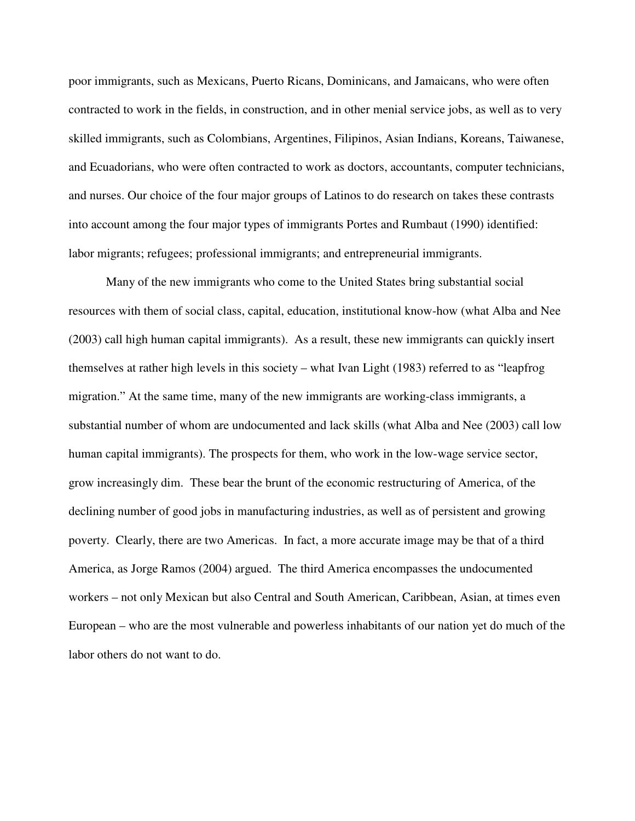poor immigrants, such as Mexicans, Puerto Ricans, Dominicans, and Jamaicans, who were often contracted to work in the fields, in construction, and in other menial service jobs, as well as to very skilled immigrants, such as Colombians, Argentines, Filipinos, Asian Indians, Koreans, Taiwanese, and Ecuadorians, who were often contracted to work as doctors, accountants, computer technicians, and nurses. Our choice of the four major groups of Latinos to do research on takes these contrasts into account among the four major types of immigrants Portes and Rumbaut (1990) identified: labor migrants; refugees; professional immigrants; and entrepreneurial immigrants.

Many of the new immigrants who come to the United States bring substantial social resources with them of social class, capital, education, institutional know-how (what Alba and Nee (2003) call high human capital immigrants). As a result, these new immigrants can quickly insert themselves at rather high levels in this society – what Ivan Light (1983) referred to as "leapfrog migration." At the same time, many of the new immigrants are working-class immigrants, a substantial number of whom are undocumented and lack skills (what Alba and Nee (2003) call low human capital immigrants). The prospects for them, who work in the low-wage service sector, grow increasingly dim. These bear the brunt of the economic restructuring of America, of the declining number of good jobs in manufacturing industries, as well as of persistent and growing poverty. Clearly, there are two Americas. In fact, a more accurate image may be that of a third America, as Jorge Ramos (2004) argued. The third America encompasses the undocumented workers – not only Mexican but also Central and South American, Caribbean, Asian, at times even European – who are the most vulnerable and powerless inhabitants of our nation yet do much of the labor others do not want to do.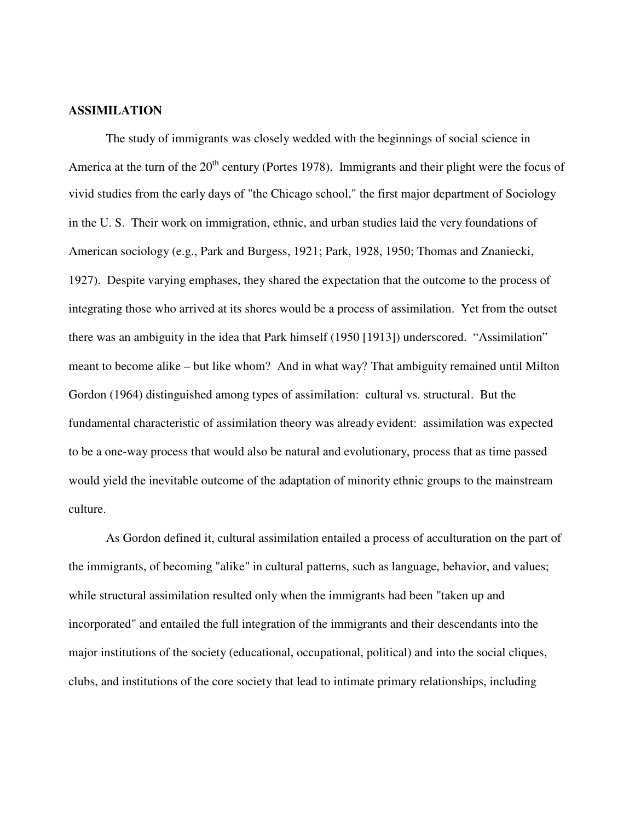## **ASSIMILATION**

The study of immigrants was closely wedded with the beginnings of social science in America at the turn of the  $20<sup>th</sup>$  century (Portes 1978). Immigrants and their plight were the focus of vivid studies from the early days of "the Chicago school," the first major department of Sociology in the U. S. Their work on immigration, ethnic, and urban studies laid the very foundations of American sociology (e.g., Park and Burgess, 1921; Park, 1928, 1950; Thomas and Znaniecki, 1927). Despite varying emphases, they shared the expectation that the outcome to the process of integrating those who arrived at its shores would be a process of assimilation. Yet from the outset there was an ambiguity in the idea that Park himself (1950 [1913]) underscored. "Assimilation" meant to become alike – but like whom? And in what way? That ambiguity remained until Milton Gordon (1964) distinguished among types of assimilation: cultural vs. structural. But the fundamental characteristic of assimilation theory was already evident: assimilation was expected to be a one-way process that would also be natural and evolutionary, process that as time passed would yield the inevitable outcome of the adaptation of minority ethnic groups to the mainstream culture.

As Gordon defined it, cultural assimilation entailed a process of acculturation on the part of the immigrants, of becoming "alike" in cultural patterns, such as language, behavior, and values; while structural assimilation resulted only when the immigrants had been "taken up and incorporated" and entailed the full integration of the immigrants and their descendants into the major institutions of the society (educational, occupational, political) and into the social cliques, clubs, and institutions of the core society that lead to intimate primary relationships, including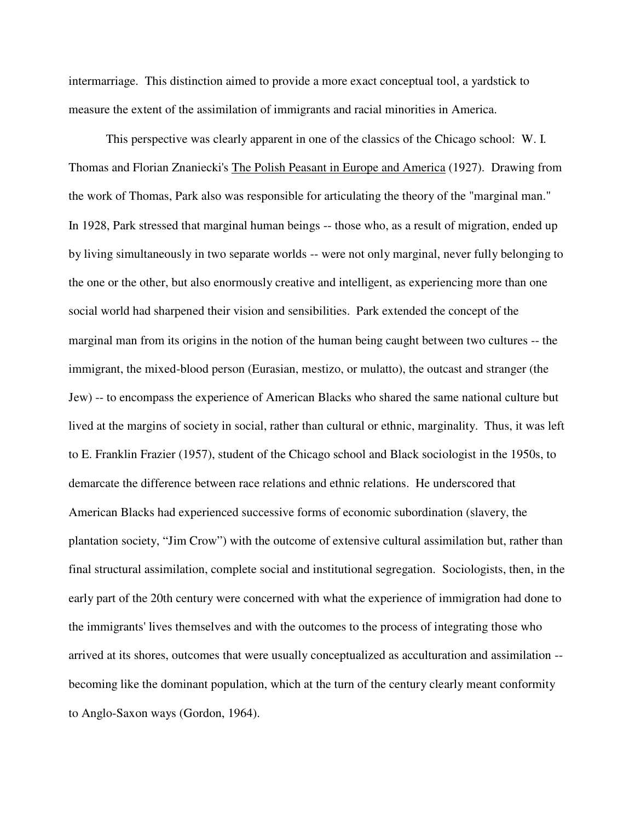intermarriage. This distinction aimed to provide a more exact conceptual tool, a yardstick to measure the extent of the assimilation of immigrants and racial minorities in America.

This perspective was clearly apparent in one of the classics of the Chicago school: W. I. Thomas and Florian Znaniecki's The Polish Peasant in Europe and America (1927). Drawing from the work of Thomas, Park also was responsible for articulating the theory of the "marginal man." In 1928, Park stressed that marginal human beings -- those who, as a result of migration, ended up by living simultaneously in two separate worlds -- were not only marginal, never fully belonging to the one or the other, but also enormously creative and intelligent, as experiencing more than one social world had sharpened their vision and sensibilities. Park extended the concept of the marginal man from its origins in the notion of the human being caught between two cultures -- the immigrant, the mixed-blood person (Eurasian, mestizo, or mulatto), the outcast and stranger (the Jew) -- to encompass the experience of American Blacks who shared the same national culture but lived at the margins of society in social, rather than cultural or ethnic, marginality. Thus, it was left to E. Franklin Frazier (1957), student of the Chicago school and Black sociologist in the 1950s, to demarcate the difference between race relations and ethnic relations. He underscored that American Blacks had experienced successive forms of economic subordination (slavery, the plantation society, "Jim Crow") with the outcome of extensive cultural assimilation but, rather than final structural assimilation, complete social and institutional segregation. Sociologists, then, in the early part of the 20th century were concerned with what the experience of immigration had done to the immigrants' lives themselves and with the outcomes to the process of integrating those who arrived at its shores, outcomes that were usually conceptualized as acculturation and assimilation - becoming like the dominant population, which at the turn of the century clearly meant conformity to Anglo-Saxon ways (Gordon, 1964).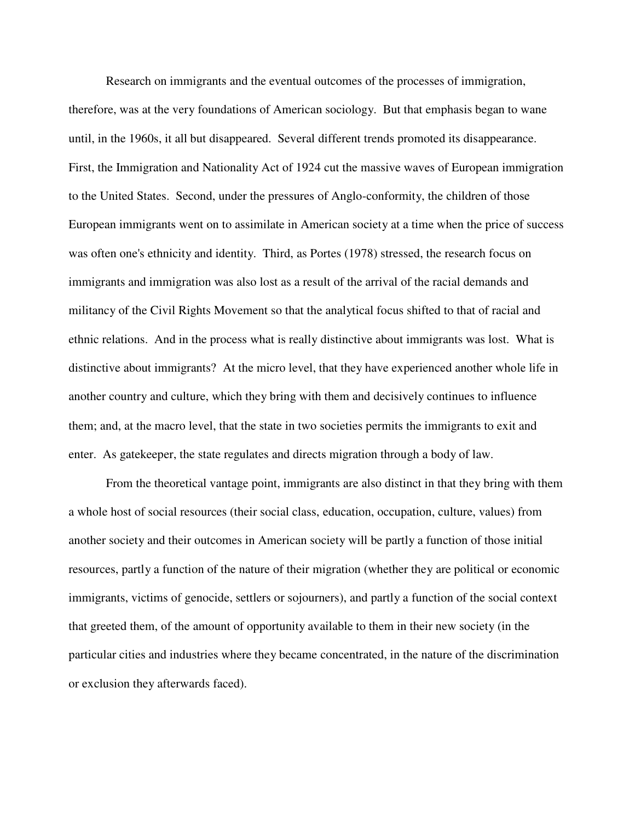Research on immigrants and the eventual outcomes of the processes of immigration, therefore, was at the very foundations of American sociology. But that emphasis began to wane until, in the 1960s, it all but disappeared. Several different trends promoted its disappearance. First, the Immigration and Nationality Act of 1924 cut the massive waves of European immigration to the United States. Second, under the pressures of Anglo-conformity, the children of those European immigrants went on to assimilate in American society at a time when the price of success was often one's ethnicity and identity. Third, as Portes (1978) stressed, the research focus on immigrants and immigration was also lost as a result of the arrival of the racial demands and militancy of the Civil Rights Movement so that the analytical focus shifted to that of racial and ethnic relations. And in the process what is really distinctive about immigrants was lost. What is distinctive about immigrants? At the micro level, that they have experienced another whole life in another country and culture, which they bring with them and decisively continues to influence them; and, at the macro level, that the state in two societies permits the immigrants to exit and enter. As gatekeeper, the state regulates and directs migration through a body of law.

From the theoretical vantage point, immigrants are also distinct in that they bring with them a whole host of social resources (their social class, education, occupation, culture, values) from another society and their outcomes in American society will be partly a function of those initial resources, partly a function of the nature of their migration (whether they are political or economic immigrants, victims of genocide, settlers or sojourners), and partly a function of the social context that greeted them, of the amount of opportunity available to them in their new society (in the particular cities and industries where they became concentrated, in the nature of the discrimination or exclusion they afterwards faced).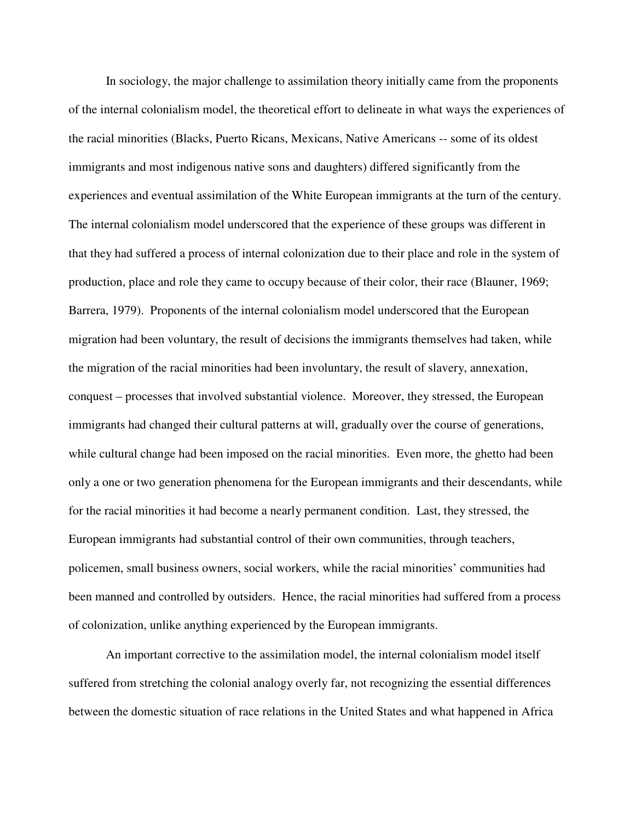In sociology, the major challenge to assimilation theory initially came from the proponents of the internal colonialism model, the theoretical effort to delineate in what ways the experiences of the racial minorities (Blacks, Puerto Ricans, Mexicans, Native Americans -- some of its oldest immigrants and most indigenous native sons and daughters) differed significantly from the experiences and eventual assimilation of the White European immigrants at the turn of the century. The internal colonialism model underscored that the experience of these groups was different in that they had suffered a process of internal colonization due to their place and role in the system of production, place and role they came to occupy because of their color, their race (Blauner, 1969; Barrera, 1979). Proponents of the internal colonialism model underscored that the European migration had been voluntary, the result of decisions the immigrants themselves had taken, while the migration of the racial minorities had been involuntary, the result of slavery, annexation, conquest – processes that involved substantial violence. Moreover, they stressed, the European immigrants had changed their cultural patterns at will, gradually over the course of generations, while cultural change had been imposed on the racial minorities. Even more, the ghetto had been only a one or two generation phenomena for the European immigrants and their descendants, while for the racial minorities it had become a nearly permanent condition. Last, they stressed, the European immigrants had substantial control of their own communities, through teachers, policemen, small business owners, social workers, while the racial minorities' communities had been manned and controlled by outsiders. Hence, the racial minorities had suffered from a process of colonization, unlike anything experienced by the European immigrants.

An important corrective to the assimilation model, the internal colonialism model itself suffered from stretching the colonial analogy overly far, not recognizing the essential differences between the domestic situation of race relations in the United States and what happened in Africa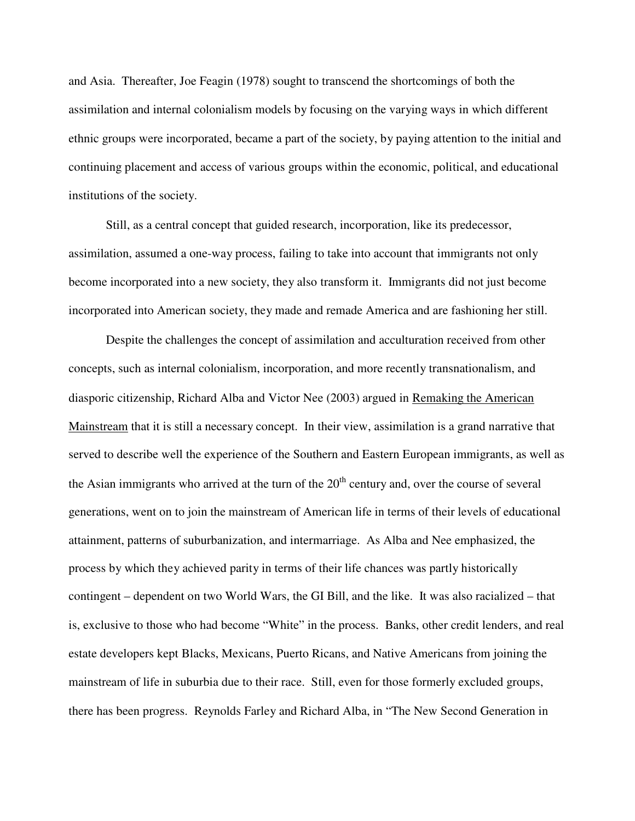and Asia. Thereafter, Joe Feagin (1978) sought to transcend the shortcomings of both the assimilation and internal colonialism models by focusing on the varying ways in which different ethnic groups were incorporated, became a part of the society, by paying attention to the initial and continuing placement and access of various groups within the economic, political, and educational institutions of the society.

Still, as a central concept that guided research, incorporation, like its predecessor, assimilation, assumed a one-way process, failing to take into account that immigrants not only become incorporated into a new society, they also transform it. Immigrants did not just become incorporated into American society, they made and remade America and are fashioning her still.

Despite the challenges the concept of assimilation and acculturation received from other concepts, such as internal colonialism, incorporation, and more recently transnationalism, and diasporic citizenship, Richard Alba and Victor Nee (2003) argued in Remaking the American Mainstream that it is still a necessary concept. In their view, assimilation is a grand narrative that served to describe well the experience of the Southern and Eastern European immigrants, as well as the Asian immigrants who arrived at the turn of the  $20<sup>th</sup>$  century and, over the course of several generations, went on to join the mainstream of American life in terms of their levels of educational attainment, patterns of suburbanization, and intermarriage. As Alba and Nee emphasized, the process by which they achieved parity in terms of their life chances was partly historically contingent – dependent on two World Wars, the GI Bill, and the like. It was also racialized – that is, exclusive to those who had become "White" in the process. Banks, other credit lenders, and real estate developers kept Blacks, Mexicans, Puerto Ricans, and Native Americans from joining the mainstream of life in suburbia due to their race. Still, even for those formerly excluded groups, there has been progress. Reynolds Farley and Richard Alba, in "The New Second Generation in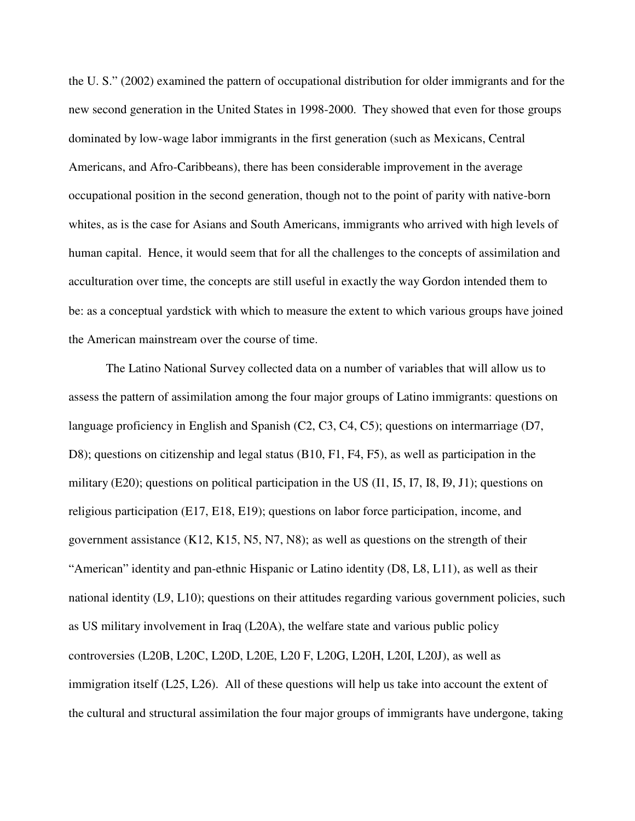the U. S." (2002) examined the pattern of occupational distribution for older immigrants and for the new second generation in the United States in 1998-2000. They showed that even for those groups dominated by low-wage labor immigrants in the first generation (such as Mexicans, Central Americans, and Afro-Caribbeans), there has been considerable improvement in the average occupational position in the second generation, though not to the point of parity with native-born whites, as is the case for Asians and South Americans, immigrants who arrived with high levels of human capital. Hence, it would seem that for all the challenges to the concepts of assimilation and acculturation over time, the concepts are still useful in exactly the way Gordon intended them to be: as a conceptual yardstick with which to measure the extent to which various groups have joined the American mainstream over the course of time.

The Latino National Survey collected data on a number of variables that will allow us to assess the pattern of assimilation among the four major groups of Latino immigrants: questions on language proficiency in English and Spanish (C2, C3, C4, C5); questions on intermarriage (D7, D8); questions on citizenship and legal status (B10, F1, F4, F5), as well as participation in the military (E20); questions on political participation in the US (I1, I5, I7, I8, I9, J1); questions on religious participation (E17, E18, E19); questions on labor force participation, income, and government assistance (K12, K15, N5, N7, N8); as well as questions on the strength of their "American" identity and pan-ethnic Hispanic or Latino identity (D8, L8, L11), as well as their national identity (L9, L10); questions on their attitudes regarding various government policies, such as US military involvement in Iraq (L20A), the welfare state and various public policy controversies (L20B, L20C, L20D, L20E, L20 F, L20G, L20H, L20I, L20J), as well as immigration itself (L25, L26). All of these questions will help us take into account the extent of the cultural and structural assimilation the four major groups of immigrants have undergone, taking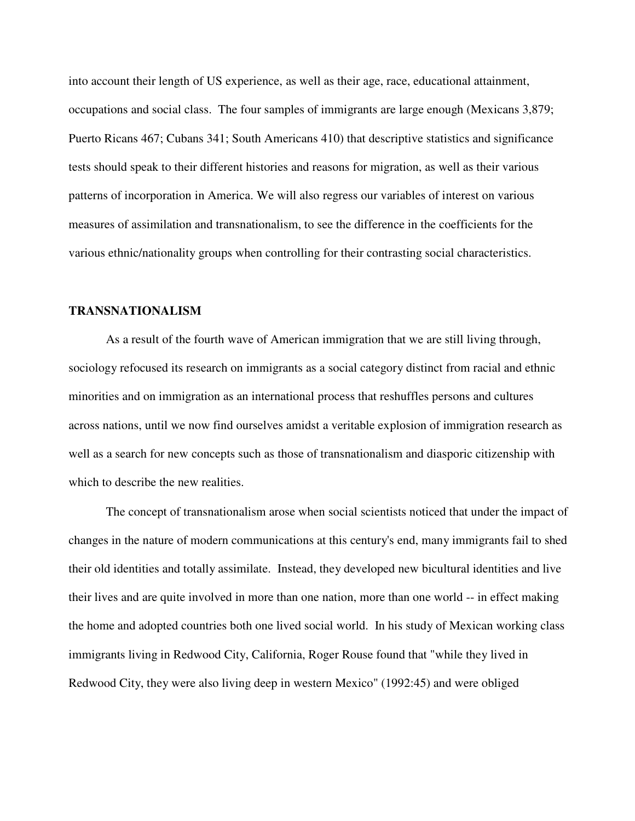into account their length of US experience, as well as their age, race, educational attainment, occupations and social class. The four samples of immigrants are large enough (Mexicans 3,879; Puerto Ricans 467; Cubans 341; South Americans 410) that descriptive statistics and significance tests should speak to their different histories and reasons for migration, as well as their various patterns of incorporation in America. We will also regress our variables of interest on various measures of assimilation and transnationalism, to see the difference in the coefficients for the various ethnic/nationality groups when controlling for their contrasting social characteristics.

## **TRANSNATIONALISM**

As a result of the fourth wave of American immigration that we are still living through, sociology refocused its research on immigrants as a social category distinct from racial and ethnic minorities and on immigration as an international process that reshuffles persons and cultures across nations, until we now find ourselves amidst a veritable explosion of immigration research as well as a search for new concepts such as those of transnationalism and diasporic citizenship with which to describe the new realities.

The concept of transnationalism arose when social scientists noticed that under the impact of changes in the nature of modern communications at this century's end, many immigrants fail to shed their old identities and totally assimilate. Instead, they developed new bicultural identities and live their lives and are quite involved in more than one nation, more than one world -- in effect making the home and adopted countries both one lived social world. In his study of Mexican working class immigrants living in Redwood City, California, Roger Rouse found that "while they lived in Redwood City, they were also living deep in western Mexico" (1992:45) and were obliged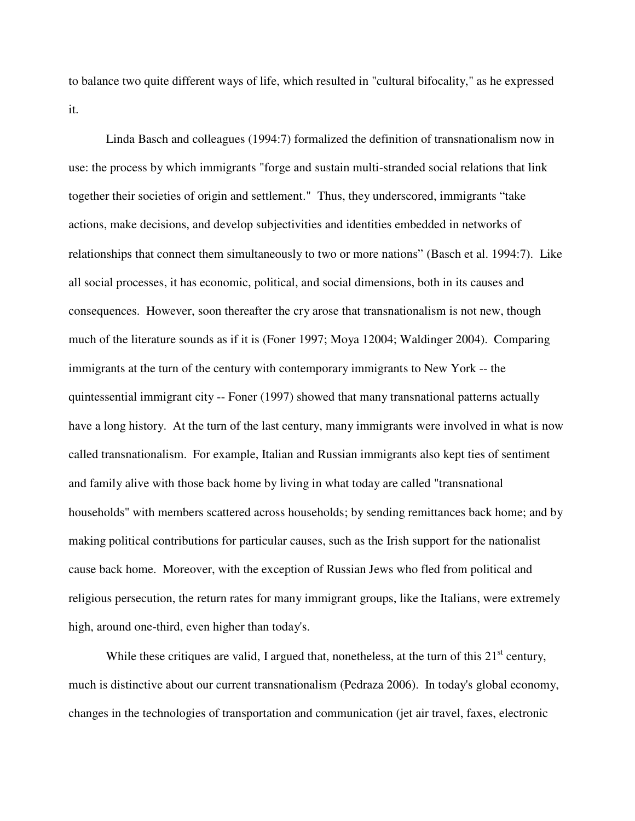to balance two quite different ways of life, which resulted in "cultural bifocality," as he expressed it.

Linda Basch and colleagues (1994:7) formalized the definition of transnationalism now in use: the process by which immigrants "forge and sustain multi-stranded social relations that link together their societies of origin and settlement." Thus, they underscored, immigrants "take actions, make decisions, and develop subjectivities and identities embedded in networks of relationships that connect them simultaneously to two or more nations" (Basch et al. 1994:7). Like all social processes, it has economic, political, and social dimensions, both in its causes and consequences. However, soon thereafter the cry arose that transnationalism is not new, though much of the literature sounds as if it is (Foner 1997; Moya 12004; Waldinger 2004). Comparing immigrants at the turn of the century with contemporary immigrants to New York -- the quintessential immigrant city -- Foner (1997) showed that many transnational patterns actually have a long history. At the turn of the last century, many immigrants were involved in what is now called transnationalism. For example, Italian and Russian immigrants also kept ties of sentiment and family alive with those back home by living in what today are called "transnational households" with members scattered across households; by sending remittances back home; and by making political contributions for particular causes, such as the Irish support for the nationalist cause back home. Moreover, with the exception of Russian Jews who fled from political and religious persecution, the return rates for many immigrant groups, like the Italians, were extremely high, around one-third, even higher than today's.

While these critiques are valid, I argued that, nonetheless, at the turn of this  $21<sup>st</sup>$  century, much is distinctive about our current transnationalism (Pedraza 2006). In today's global economy, changes in the technologies of transportation and communication (jet air travel, faxes, electronic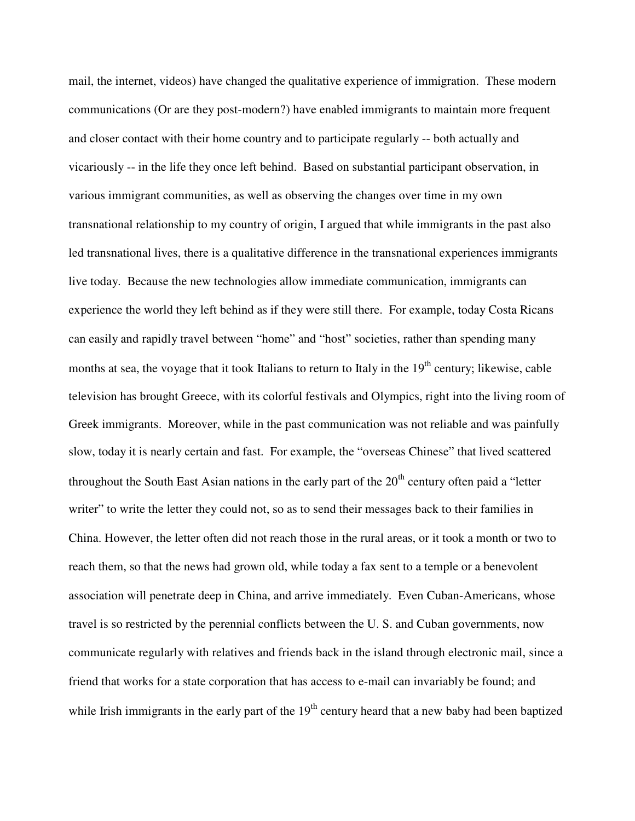mail, the internet, videos) have changed the qualitative experience of immigration. These modern communications (Or are they post-modern?) have enabled immigrants to maintain more frequent and closer contact with their home country and to participate regularly -- both actually and vicariously -- in the life they once left behind. Based on substantial participant observation, in various immigrant communities, as well as observing the changes over time in my own transnational relationship to my country of origin, I argued that while immigrants in the past also led transnational lives, there is a qualitative difference in the transnational experiences immigrants live today. Because the new technologies allow immediate communication, immigrants can experience the world they left behind as if they were still there. For example, today Costa Ricans can easily and rapidly travel between "home" and "host" societies, rather than spending many months at sea, the voyage that it took Italians to return to Italy in the  $19<sup>th</sup>$  century; likewise, cable television has brought Greece, with its colorful festivals and Olympics, right into the living room of Greek immigrants. Moreover, while in the past communication was not reliable and was painfully slow, today it is nearly certain and fast. For example, the "overseas Chinese" that lived scattered throughout the South East Asian nations in the early part of the  $20<sup>th</sup>$  century often paid a "letter" writer" to write the letter they could not, so as to send their messages back to their families in China. However, the letter often did not reach those in the rural areas, or it took a month or two to reach them, so that the news had grown old, while today a fax sent to a temple or a benevolent association will penetrate deep in China, and arrive immediately. Even Cuban-Americans, whose travel is so restricted by the perennial conflicts between the U. S. and Cuban governments, now communicate regularly with relatives and friends back in the island through electronic mail, since a friend that works for a state corporation that has access to e-mail can invariably be found; and while Irish immigrants in the early part of the  $19<sup>th</sup>$  century heard that a new baby had been baptized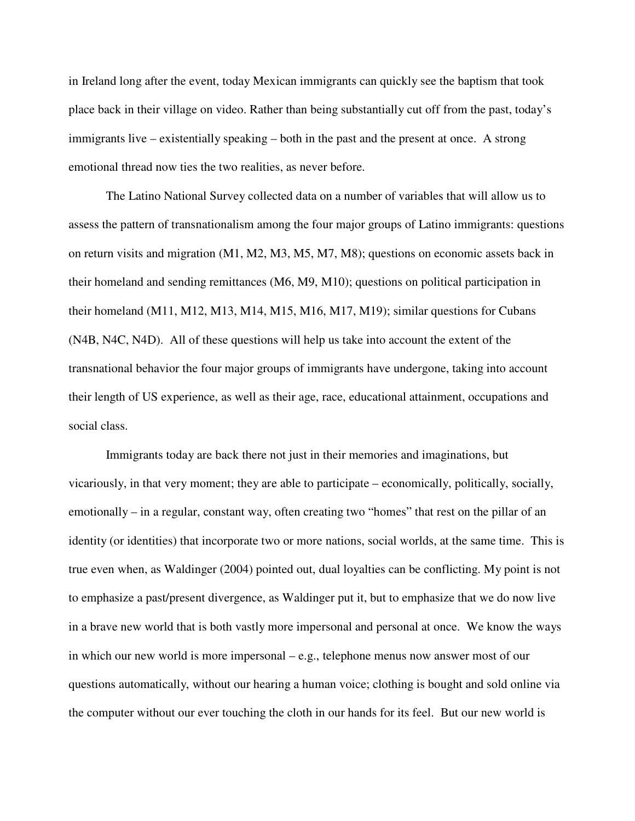in Ireland long after the event, today Mexican immigrants can quickly see the baptism that took place back in their village on video. Rather than being substantially cut off from the past, today's immigrants live – existentially speaking – both in the past and the present at once. A strong emotional thread now ties the two realities, as never before.

The Latino National Survey collected data on a number of variables that will allow us to assess the pattern of transnationalism among the four major groups of Latino immigrants: questions on return visits and migration (M1, M2, M3, M5, M7, M8); questions on economic assets back in their homeland and sending remittances (M6, M9, M10); questions on political participation in their homeland (M11, M12, M13, M14, M15, M16, M17, M19); similar questions for Cubans (N4B, N4C, N4D). All of these questions will help us take into account the extent of the transnational behavior the four major groups of immigrants have undergone, taking into account their length of US experience, as well as their age, race, educational attainment, occupations and social class.

Immigrants today are back there not just in their memories and imaginations, but vicariously, in that very moment; they are able to participate – economically, politically, socially, emotionally – in a regular, constant way, often creating two "homes" that rest on the pillar of an identity (or identities) that incorporate two or more nations, social worlds, at the same time. This is true even when, as Waldinger (2004) pointed out, dual loyalties can be conflicting. My point is not to emphasize a past/present divergence, as Waldinger put it, but to emphasize that we do now live in a brave new world that is both vastly more impersonal and personal at once. We know the ways in which our new world is more impersonal – e.g., telephone menus now answer most of our questions automatically, without our hearing a human voice; clothing is bought and sold online via the computer without our ever touching the cloth in our hands for its feel. But our new world is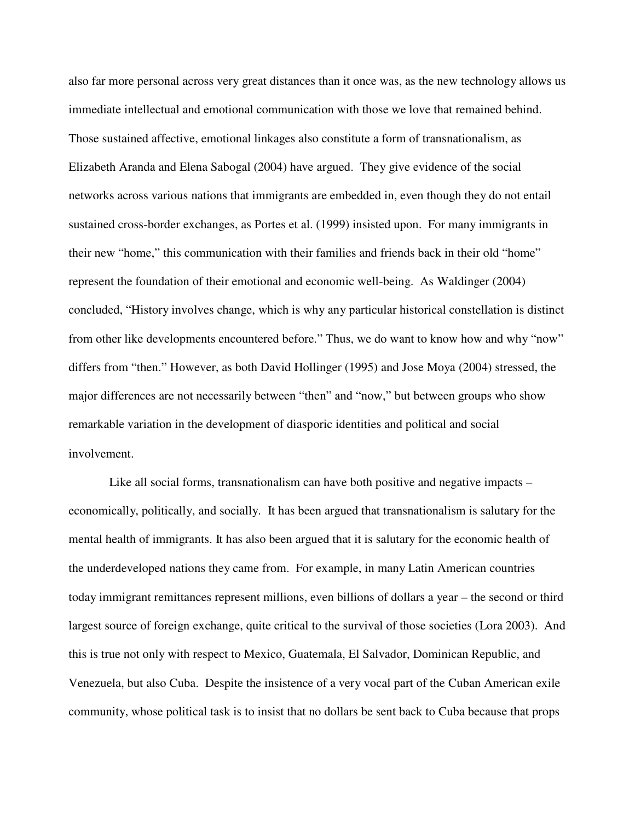also far more personal across very great distances than it once was, as the new technology allows us immediate intellectual and emotional communication with those we love that remained behind. Those sustained affective, emotional linkages also constitute a form of transnationalism, as Elizabeth Aranda and Elena Sabogal (2004) have argued. They give evidence of the social networks across various nations that immigrants are embedded in, even though they do not entail sustained cross-border exchanges, as Portes et al. (1999) insisted upon. For many immigrants in their new "home," this communication with their families and friends back in their old "home" represent the foundation of their emotional and economic well-being. As Waldinger (2004) concluded, "History involves change, which is why any particular historical constellation is distinct from other like developments encountered before." Thus, we do want to know how and why "now" differs from "then." However, as both David Hollinger (1995) and Jose Moya (2004) stressed, the major differences are not necessarily between "then" and "now," but between groups who show remarkable variation in the development of diasporic identities and political and social involvement.

Like all social forms, transnationalism can have both positive and negative impacts – economically, politically, and socially. It has been argued that transnationalism is salutary for the mental health of immigrants. It has also been argued that it is salutary for the economic health of the underdeveloped nations they came from. For example, in many Latin American countries today immigrant remittances represent millions, even billions of dollars a year – the second or third largest source of foreign exchange, quite critical to the survival of those societies (Lora 2003). And this is true not only with respect to Mexico, Guatemala, El Salvador, Dominican Republic, and Venezuela, but also Cuba. Despite the insistence of a very vocal part of the Cuban American exile community, whose political task is to insist that no dollars be sent back to Cuba because that props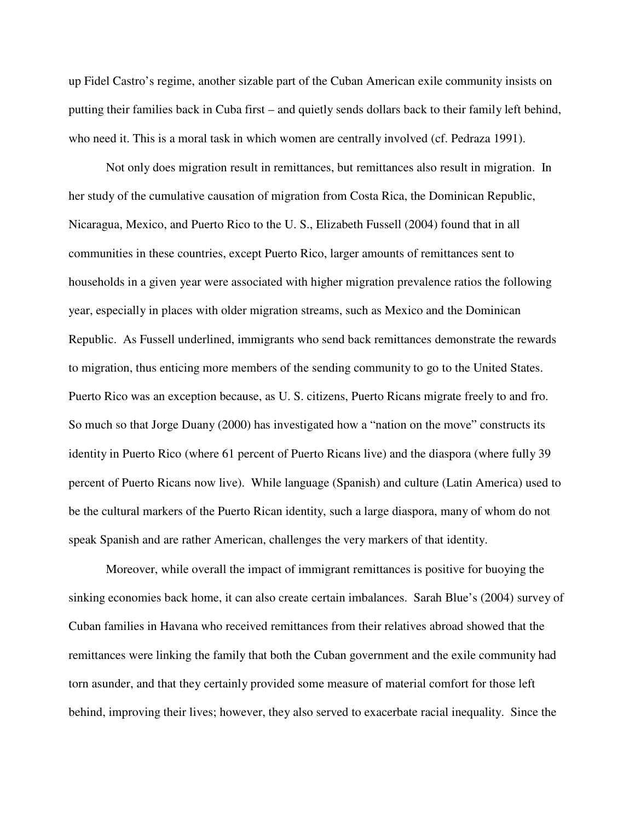up Fidel Castro's regime, another sizable part of the Cuban American exile community insists on putting their families back in Cuba first – and quietly sends dollars back to their family left behind, who need it. This is a moral task in which women are centrally involved (cf. Pedraza 1991).

Not only does migration result in remittances, but remittances also result in migration. In her study of the cumulative causation of migration from Costa Rica, the Dominican Republic, Nicaragua, Mexico, and Puerto Rico to the U. S., Elizabeth Fussell (2004) found that in all communities in these countries, except Puerto Rico, larger amounts of remittances sent to households in a given year were associated with higher migration prevalence ratios the following year, especially in places with older migration streams, such as Mexico and the Dominican Republic. As Fussell underlined, immigrants who send back remittances demonstrate the rewards to migration, thus enticing more members of the sending community to go to the United States. Puerto Rico was an exception because, as U. S. citizens, Puerto Ricans migrate freely to and fro. So much so that Jorge Duany (2000) has investigated how a "nation on the move" constructs its identity in Puerto Rico (where 61 percent of Puerto Ricans live) and the diaspora (where fully 39 percent of Puerto Ricans now live). While language (Spanish) and culture (Latin America) used to be the cultural markers of the Puerto Rican identity, such a large diaspora, many of whom do not speak Spanish and are rather American, challenges the very markers of that identity.

Moreover, while overall the impact of immigrant remittances is positive for buoying the sinking economies back home, it can also create certain imbalances. Sarah Blue's (2004) survey of Cuban families in Havana who received remittances from their relatives abroad showed that the remittances were linking the family that both the Cuban government and the exile community had torn asunder, and that they certainly provided some measure of material comfort for those left behind, improving their lives; however, they also served to exacerbate racial inequality. Since the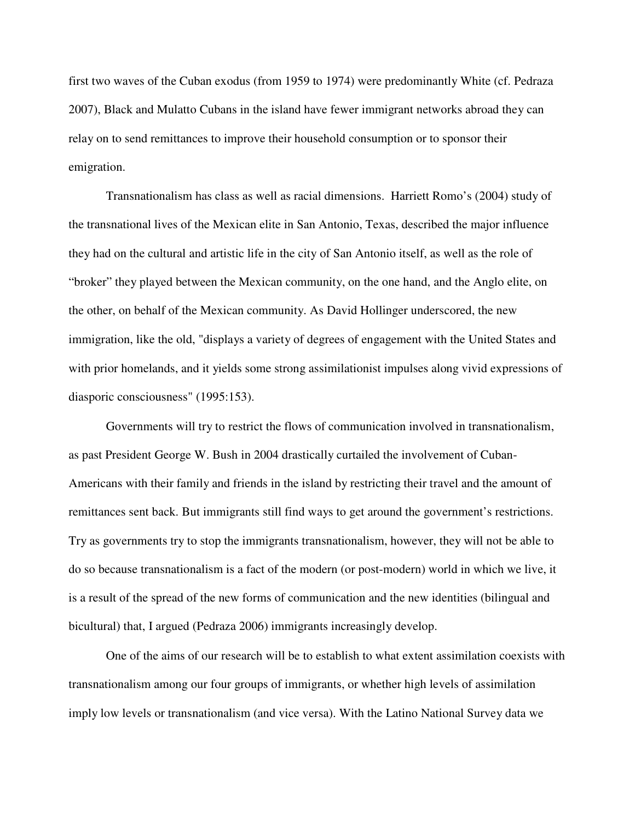first two waves of the Cuban exodus (from 1959 to 1974) were predominantly White (cf. Pedraza 2007), Black and Mulatto Cubans in the island have fewer immigrant networks abroad they can relay on to send remittances to improve their household consumption or to sponsor their emigration.

Transnationalism has class as well as racial dimensions. Harriett Romo's (2004) study of the transnational lives of the Mexican elite in San Antonio, Texas, described the major influence they had on the cultural and artistic life in the city of San Antonio itself, as well as the role of "broker" they played between the Mexican community, on the one hand, and the Anglo elite, on the other, on behalf of the Mexican community. As David Hollinger underscored, the new immigration, like the old, "displays a variety of degrees of engagement with the United States and with prior homelands, and it yields some strong assimilationist impulses along vivid expressions of diasporic consciousness" (1995:153).

Governments will try to restrict the flows of communication involved in transnationalism, as past President George W. Bush in 2004 drastically curtailed the involvement of Cuban-Americans with their family and friends in the island by restricting their travel and the amount of remittances sent back. But immigrants still find ways to get around the government's restrictions. Try as governments try to stop the immigrants transnationalism, however, they will not be able to do so because transnationalism is a fact of the modern (or post-modern) world in which we live, it is a result of the spread of the new forms of communication and the new identities (bilingual and bicultural) that, I argued (Pedraza 2006) immigrants increasingly develop.

One of the aims of our research will be to establish to what extent assimilation coexists with transnationalism among our four groups of immigrants, or whether high levels of assimilation imply low levels or transnationalism (and vice versa). With the Latino National Survey data we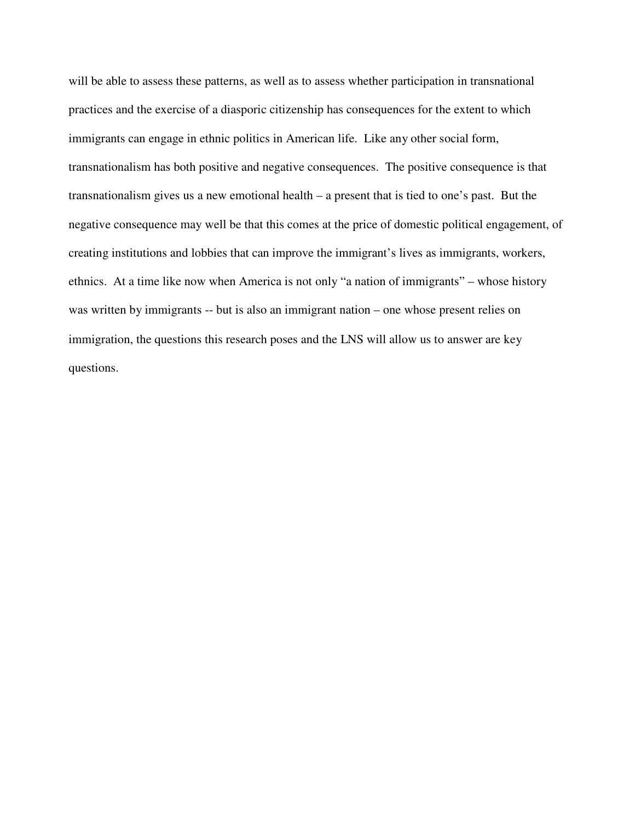will be able to assess these patterns, as well as to assess whether participation in transnational practices and the exercise of a diasporic citizenship has consequences for the extent to which immigrants can engage in ethnic politics in American life. Like any other social form, transnationalism has both positive and negative consequences. The positive consequence is that transnationalism gives us a new emotional health – a present that is tied to one's past. But the negative consequence may well be that this comes at the price of domestic political engagement, of creating institutions and lobbies that can improve the immigrant's lives as immigrants, workers, ethnics. At a time like now when America is not only "a nation of immigrants" – whose history was written by immigrants -- but is also an immigrant nation – one whose present relies on immigration, the questions this research poses and the LNS will allow us to answer are key questions.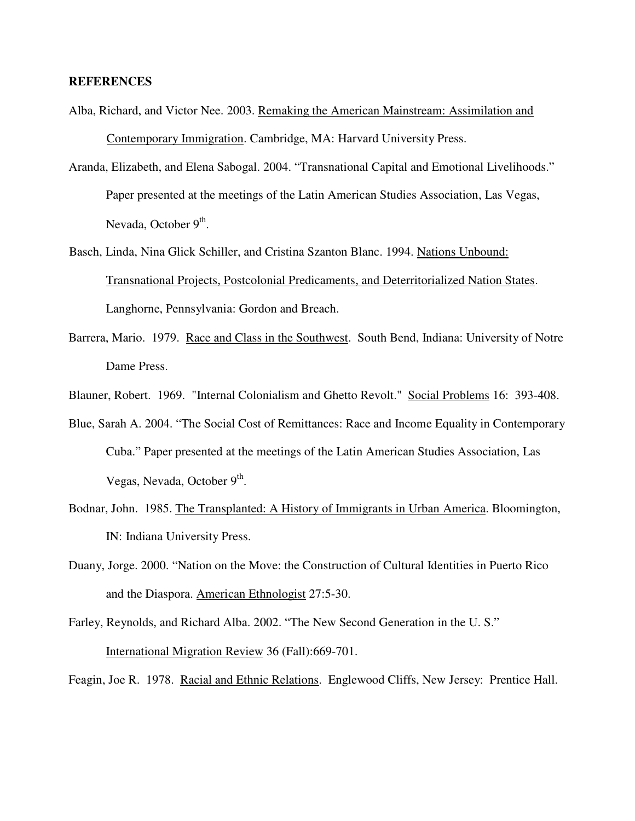# **REFERENCES**

- Alba, Richard, and Victor Nee. 2003. Remaking the American Mainstream: Assimilation and Contemporary Immigration. Cambridge, MA: Harvard University Press.
- Aranda, Elizabeth, and Elena Sabogal. 2004. "Transnational Capital and Emotional Livelihoods." Paper presented at the meetings of the Latin American Studies Association, Las Vegas, Nevada, October 9<sup>th</sup>.
- Basch, Linda, Nina Glick Schiller, and Cristina Szanton Blanc. 1994. Nations Unbound: Transnational Projects, Postcolonial Predicaments, and Deterritorialized Nation States. Langhorne, Pennsylvania: Gordon and Breach.
- Barrera, Mario. 1979. Race and Class in the Southwest. South Bend, Indiana: University of Notre Dame Press.
- Blauner, Robert. 1969. "Internal Colonialism and Ghetto Revolt." Social Problems 16: 393-408.
- Blue, Sarah A. 2004. "The Social Cost of Remittances: Race and Income Equality in Contemporary Cuba." Paper presented at the meetings of the Latin American Studies Association, Las Vegas, Nevada, October 9<sup>th</sup>.
- Bodnar, John. 1985. The Transplanted: A History of Immigrants in Urban America. Bloomington, IN: Indiana University Press.
- Duany, Jorge. 2000. "Nation on the Move: the Construction of Cultural Identities in Puerto Rico and the Diaspora. American Ethnologist 27:5-30.
- Farley, Reynolds, and Richard Alba. 2002. "The New Second Generation in the U. S." International Migration Review 36 (Fall):669-701.

Feagin, Joe R. 1978. Racial and Ethnic Relations. Englewood Cliffs, New Jersey: Prentice Hall.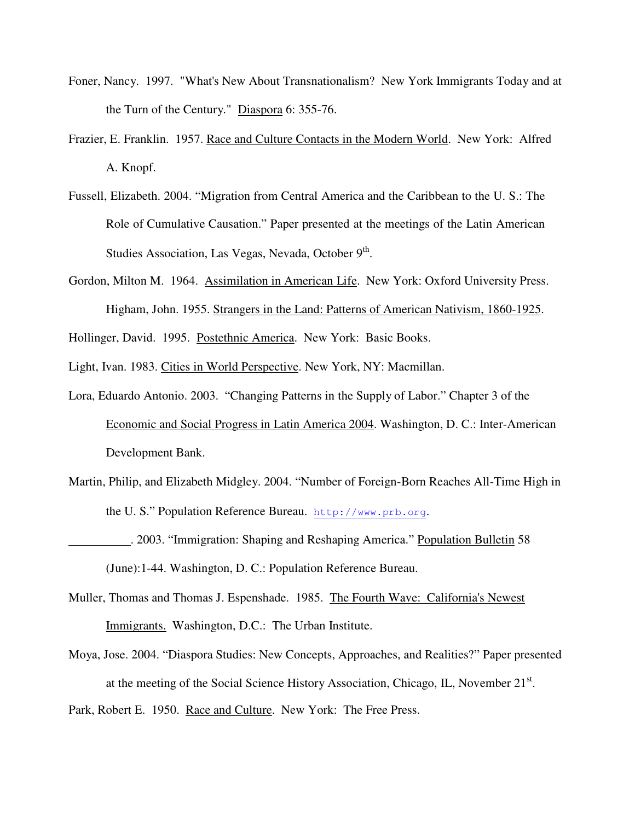- Foner, Nancy. 1997. "What's New About Transnationalism? New York Immigrants Today and at the Turn of the Century." Diaspora 6: 355-76.
- Frazier, E. Franklin. 1957. Race and Culture Contacts in the Modern World. New York: Alfred A. Knopf.
- Fussell, Elizabeth. 2004. "Migration from Central America and the Caribbean to the U. S.: The Role of Cumulative Causation." Paper presented at the meetings of the Latin American Studies Association, Las Vegas, Nevada, October 9<sup>th</sup>.
- Gordon, Milton M. 1964. Assimilation in American Life. New York: Oxford University Press. Higham, John. 1955. Strangers in the Land: Patterns of American Nativism, 1860-1925.

Hollinger, David. 1995. Postethnic America. New York: Basic Books.

Light, Ivan. 1983. Cities in World Perspective. New York, NY: Macmillan.

- Lora, Eduardo Antonio. 2003. "Changing Patterns in the Supply of Labor." Chapter 3 of the Economic and Social Progress in Latin America 2004. Washington, D. C.: Inter-American Development Bank.
- Martin, Philip, and Elizabeth Midgley. 2004. "Number of Foreign-Born Reaches All-Time High in the U. S." Population Reference Bureau. http://www.prb.org.
- . 2003. "Immigration: Shaping and Reshaping America." Population Bulletin 58 (June):1-44. Washington, D. C.: Population Reference Bureau.
- Muller, Thomas and Thomas J. Espenshade. 1985. The Fourth Wave: California's Newest Immigrants. Washington, D.C.: The Urban Institute.
- Moya, Jose. 2004. "Diaspora Studies: New Concepts, Approaches, and Realities?" Paper presented at the meeting of the Social Science History Association, Chicago, IL, November 21<sup>st</sup>.

Park, Robert E. 1950. Race and Culture. New York: The Free Press.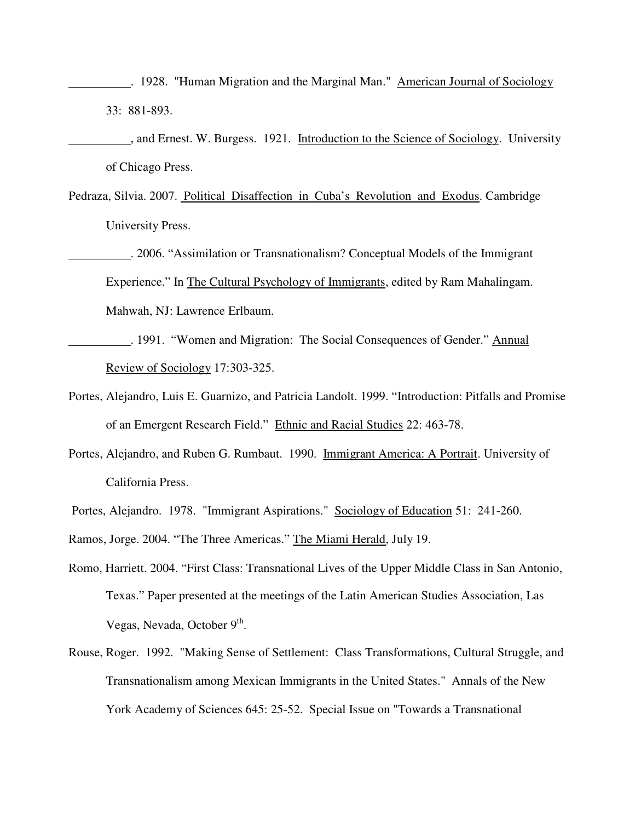- . 1928. "Human Migration and the Marginal Man." American Journal of Sociology 33: 881-893.
- , and Ernest. W. Burgess. 1921. Introduction to the Science of Sociology. University of Chicago Press.
- Pedraza, Silvia. 2007. Political Disaffection in Cuba's Revolution and Exodus. Cambridge University Press.
- . 2006. "Assimilation or Transnationalism? Conceptual Models of the Immigrant Experience." In The Cultural Psychology of Immigrants, edited by Ram Mahalingam. Mahwah, NJ: Lawrence Erlbaum.
- . 1991. "Women and Migration: The Social Consequences of Gender." Annual Review of Sociology 17:303-325.
- Portes, Alejandro, Luis E. Guarnizo, and Patricia Landolt. 1999. "Introduction: Pitfalls and Promise of an Emergent Research Field." Ethnic and Racial Studies 22: 463-78.
- Portes, Alejandro, and Ruben G. Rumbaut. 1990. Immigrant America: A Portrait. University of California Press.
- Portes, Alejandro. 1978. "Immigrant Aspirations." Sociology of Education 51: 241-260.
- Ramos, Jorge. 2004. "The Three Americas." The Miami Herald, July 19.
- Romo, Harriett. 2004. "First Class: Transnational Lives of the Upper Middle Class in San Antonio, Texas." Paper presented at the meetings of the Latin American Studies Association, Las Vegas, Nevada, October 9<sup>th</sup>.
- Rouse, Roger. 1992. "Making Sense of Settlement: Class Transformations, Cultural Struggle, and Transnationalism among Mexican Immigrants in the United States." Annals of the New York Academy of Sciences 645: 25-52. Special Issue on "Towards a Transnational